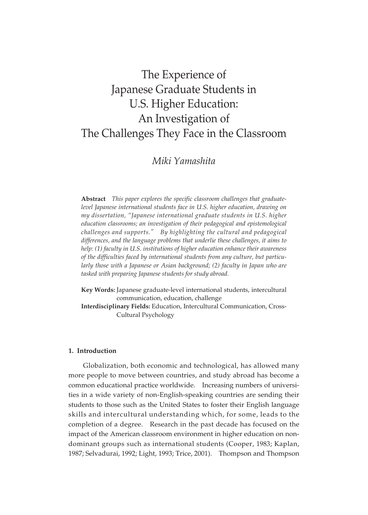# The Experience of Japanese Graduate Students in U.S. Higher Education: An Investigation of The Challenges They Face in the Classroom

# *Miki Yamashita*

**Abstract** *This paper explores the specific classroom challenges that graduatelevel Japanese international students face in U.S. higher education, drawing on my dissertation, "Japanese international graduate students in U.S. higher education classrooms; an investigation of their pedagogical and epistemological challenges and supports." By highlighting the cultural and pedagogical differences, and the language problems that underlie these challenges, it aims to help: (1) faculty in U.S. institutions of higher education enhance their awareness of the difficulties faced by international students from any culture, but particularly those with a Japanese or Asian background; (2) faculty in Japan who are tasked with preparing Japanese students for study abroad.*

**Key Words:** Japanese graduate-level international students, intercultural communication, education, challenge

**Interdisciplinary Fields:** Education, Intercultural Communication, Cross-Cultural Psychology

# **1. Introduction**

Globalization, both economic and technological, has allowed many more people to move between countries, and study abroad has become a common educational practice worldwide. Increasing numbers of universities in a wide variety of non-English-speaking countries are sending their students to those such as the United States to foster their English language skills and intercultural understanding which, for some, leads to the completion of a degree. Research in the past decade has focused on the impact of the American classroom environment in higher education on nondominant groups such as international students (Cooper, 1983; Kaplan, 1987; Selvadurai, 1992; Light, 1993; Trice, 2001). Thompson and Thompson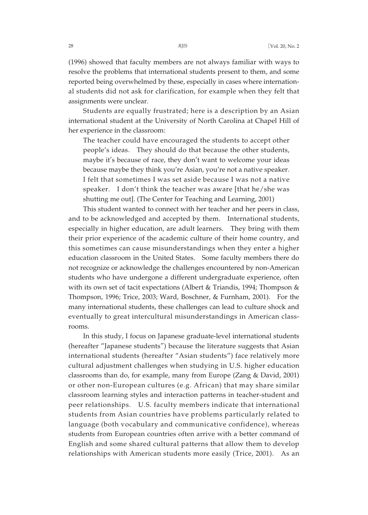(1996) showed that faculty members are not always familiar with ways to resolve the problems that international students present to them, and some reported being overwhelmed by these, especially in cases where international students did not ask for clarification, for example when they felt that assignments were unclear.

Students are equally frustrated; here is a description by an Asian international student at the University of North Carolina at Chapel Hill of her experience in the classroom:

The teacher could have encouraged the students to accept other people's ideas. They should do that because the other students, maybe it's because of race, they don't want to welcome your ideas because maybe they think you're Asian, you're not a native speaker. I felt that sometimes I was set aside because I was not a native speaker. I don't think the teacher was aware [that he/she was shutting me out]. (The Center for Teaching and Learning, 2001)

This student wanted to connect with her teacher and her peers in class, and to be acknowledged and accepted by them. International students, especially in higher education, are adult learners. They bring with them their prior experience of the academic culture of their home country, and this sometimes can cause misunderstandings when they enter a higher education classroom in the United States. Some faculty members there do not recognize or acknowledge the challenges encountered by non-American students who have undergone a different undergraduate experience, often with its own set of tacit expectations (Albert & Triandis, 1994; Thompson & Thompson, 1996; Trice, 2003; Ward, Boschner, & Furnham, 2001). For the many international students, these challenges can lead to culture shock and eventually to great intercultural misunderstandings in American classrooms.

In this study, I focus on Japanese graduate-level international students (hereafter "Japanese students") because the literature suggests that Asian international students (hereafter "Asian students") face relatively more cultural adjustment challenges when studying in U.S. higher education classrooms than do, for example, many from Europe (Zang & David, 2001) or other non-European cultures (e.g. African) that may share similar classroom learning styles and interaction patterns in teacher-student and peer relationships. U.S. faculty members indicate that international students from Asian countries have problems particularly related to language (both vocabulary and communicative confidence), whereas students from European countries often arrive with a better command of English and some shared cultural patterns that allow them to develop relationships with American students more easily (Trice, 2001). As an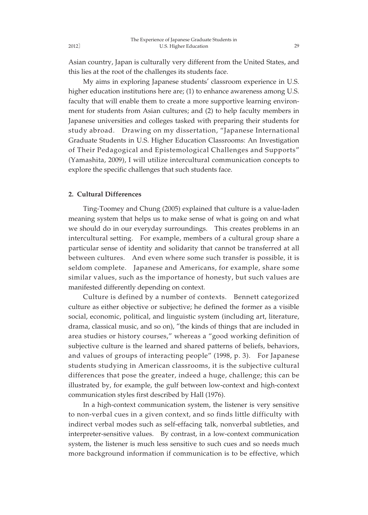Asian country, Japan is culturally very different from the United States, and this lies at the root of the challenges its students face.

My aims in exploring Japanese students' classroom experience in U.S. higher education institutions here are; (1) to enhance awareness among U.S. faculty that will enable them to create a more supportive learning environment for students from Asian cultures; and (2) to help faculty members in Japanese universities and colleges tasked with preparing their students for study abroad. Drawing on my dissertation, "Japanese International Graduate Students in U.S. Higher Education Classrooms: An Investigation of Their Pedagogical and Epistemological Challenges and Supports" (Yamashita, 2009), I will utilize intercultural communication concepts to explore the specific challenges that such students face.

# **2. Cultural Differences**

Ting-Toomey and Chung (2005) explained that culture is a value-laden meaning system that helps us to make sense of what is going on and what we should do in our everyday surroundings. This creates problems in an intercultural setting. For example, members of a cultural group share a particular sense of identity and solidarity that cannot be transferred at all between cultures. And even where some such transfer is possible, it is seldom complete. Japanese and Americans, for example, share some similar values, such as the importance of honesty, but such values are manifested differently depending on context.

Culture is defined by a number of contexts. Bennett categorized culture as either objective or subjective; he defined the former as a visible social, economic, political, and linguistic system (including art, literature, drama, classical music, and so on), "the kinds of things that are included in area studies or history courses," whereas a "good working definition of subjective culture is the learned and shared patterns of beliefs, behaviors, and values of groups of interacting people" (1998, p. 3). For Japanese students studying in American classrooms, it is the subjective cultural differences that pose the greater, indeed a huge, challenge; this can be illustrated by, for example, the gulf between low-context and high-context communication styles first described by Hall (1976).

In a high-context communication system, the listener is very sensitive to non-verbal cues in a given context, and so finds little difficulty with indirect verbal modes such as self-effacing talk, nonverbal subtleties, and interpreter-sensitive values. By contrast, in a low-context communication system, the listener is much less sensitive to such cues and so needs much more background information if communication is to be effective, which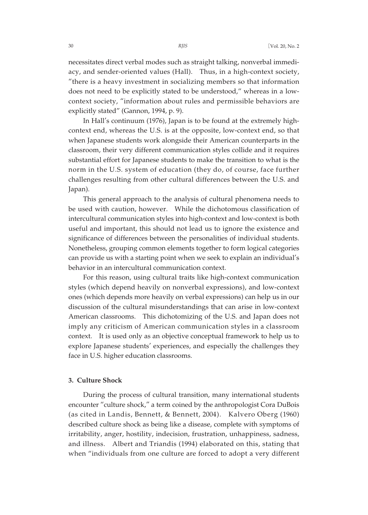necessitates direct verbal modes such as straight talking, nonverbal immediacy, and sender-oriented values (Hall). Thus, in a high-context society, "there is a heavy investment in socializing members so that information does not need to be explicitly stated to be understood," whereas in a lowcontext society, "information about rules and permissible behaviors are explicitly stated" (Gannon, 1994, p. 9).

In Hall's continuum (1976), Japan is to be found at the extremely highcontext end, whereas the U.S. is at the opposite, low-context end, so that when Japanese students work alongside their American counterparts in the classroom, their very different communication styles collide and it requires substantial effort for Japanese students to make the transition to what is the norm in the U.S. system of education (they do, of course, face further challenges resulting from other cultural differences between the U.S. and Japan).

This general approach to the analysis of cultural phenomena needs to be used with caution, however. While the dichotomous classification of intercultural communication styles into high-context and low-context is both useful and important, this should not lead us to ignore the existence and significance of differences between the personalities of individual students. Nonetheless, grouping common elements together to form logical categories can provide us with a starting point when we seek to explain an individual's behavior in an intercultural communication context.

For this reason, using cultural traits like high-context communication styles (which depend heavily on nonverbal expressions), and low-context ones (which depends more heavily on verbal expressions) can help us in our discussion of the cultural misunderstandings that can arise in low-context American classrooms. This dichotomizing of the U.S. and Japan does not imply any criticism of American communication styles in a classroom context. It is used only as an objective conceptual framework to help us to explore Japanese students' experiences, and especially the challenges they face in U.S. higher education classrooms.

# **3. Culture Shock**

During the process of cultural transition, many international students encounter "culture shock," a term coined by the anthropologist Cora DuBois (as cited in Landis, Bennett, & Bennett, 2004). Kalvero Oberg (1960) described culture shock as being like a disease, complete with symptoms of irritability, anger, hostility, indecision, frustration, unhappiness, sadness, and illness. Albert and Triandis (1994) elaborated on this, stating that when "individuals from one culture are forced to adopt a very different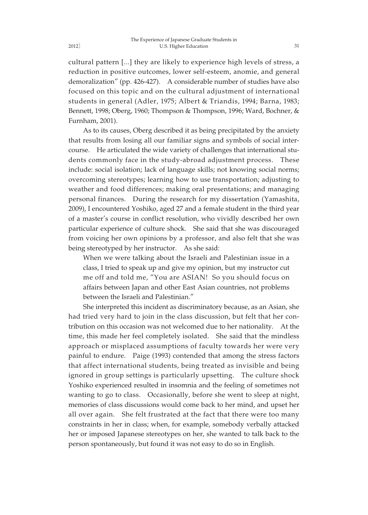cultural pattern [...] they are likely to experience high levels of stress, a reduction in positive outcomes, lower self-esteem, anomie, and general demoralization" (pp. 426-427). A considerable number of studies have also focused on this topic and on the cultural adjustment of international students in general (Adler, 1975; Albert & Triandis, 1994; Barna, 1983; Bennett, 1998; Oberg, 1960; Thompson & Thompson, 1996; Ward, Bochner, & Furnham, 2001).

As to its causes, Oberg described it as being precipitated by the anxiety that results from losing all our familiar signs and symbols of social intercourse. He articulated the wide variety of challenges that international students commonly face in the study-abroad adjustment process. These include: social isolation; lack of language skills; not knowing social norms; overcoming stereotypes; learning how to use transportation; adjusting to weather and food differences; making oral presentations; and managing personal finances. During the research for my dissertation (Yamashita, 2009), I encountered Yoshiko, aged 27 and a female student in the third year of a master's course in conflict resolution, who vividly described her own particular experience of culture shock. She said that she was discouraged from voicing her own opinions by a professor, and also felt that she was being stereotyped by her instructor. As she said:

When we were talking about the Israeli and Palestinian issue in a class, I tried to speak up and give my opinion, but my instructor cut me off and told me, "You are ASIAN! So you should focus on affairs between Japan and other East Asian countries, not problems between the Israeli and Palestinian."

She interpreted this incident as discriminatory because, as an Asian, she had tried very hard to join in the class discussion, but felt that her contribution on this occasion was not welcomed due to her nationality. At the time, this made her feel completely isolated. She said that the mindless approach or misplaced assumptions of faculty towards her were very painful to endure. Paige (1993) contended that among the stress factors that affect international students, being treated as invisible and being ignored in group settings is particularly upsetting. The culture shock Yoshiko experienced resulted in insomnia and the feeling of sometimes not wanting to go to class. Occasionally, before she went to sleep at night, memories of class discussions would come back to her mind, and upset her all over again. She felt frustrated at the fact that there were too many constraints in her in class; when, for example, somebody verbally attacked her or imposed Japanese stereotypes on her, she wanted to talk back to the person spontaneously, but found it was not easy to do so in English.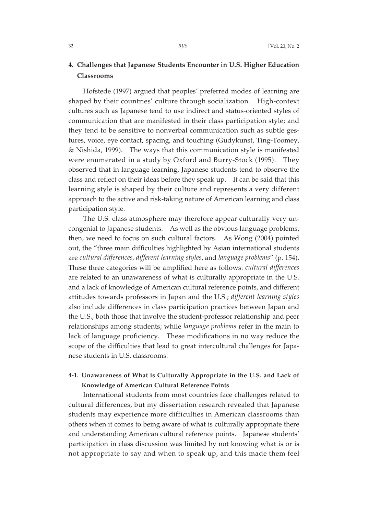# **4. Challenges that Japanese Students Encounter in U.S. Higher Education Classrooms**

Hofstede (1997) argued that peoples' preferred modes of learning are shaped by their countries' culture through socialization. High-context cultures such as Japanese tend to use indirect and status-oriented styles of communication that are manifested in their class participation style; and they tend to be sensitive to nonverbal communication such as subtle gestures, voice, eye contact, spacing, and touching (Gudykunst, Ting-Toomey, & Nishida, 1999). The ways that this communication style is manifested were enumerated in a study by Oxford and Burry-Stock (1995). They observed that in language learning, Japanese students tend to observe the class and reflect on their ideas before they speak up. It can be said that this learning style is shaped by their culture and represents a very different approach to the active and risk-taking nature of American learning and class participation style.

The U.S. class atmosphere may therefore appear culturally very uncongenial to Japanese students. As well as the obvious language problems, then, we need to focus on such cultural factors. As Wong (2004) pointed out, the "three main difficulties highlighted by Asian international students are *cultural differences, different learning styles*, and *language problems*" (p. 154). These three categories will be amplified here as follows: *cultural differences* are related to an unawareness of what is culturally appropriate in the U.S. and a lack of knowledge of American cultural reference points, and different attitudes towards professors in Japan and the U.S.; *different learning styles* also include differences in class participation practices between Japan and the U.S., both those that involve the student-professor relationship and peer relationships among students; while *language problems* refer in the main to lack of language proficiency. These modifications in no way reduce the scope of the difficulties that lead to great intercultural challenges for Japanese students in U.S. classrooms.

# **4-1. Unawareness of What is Culturally Appropriate in the U.S. and Lack of Knowledge of American Cultural Reference Points**

International students from most countries face challenges related to cultural differences, but my dissertation research revealed that Japanese students may experience more difficulties in American classrooms than others when it comes to being aware of what is culturally appropriate there and understanding American cultural reference points. Japanese students' participation in class discussion was limited by not knowing what is or is not appropriate to say and when to speak up, and this made them feel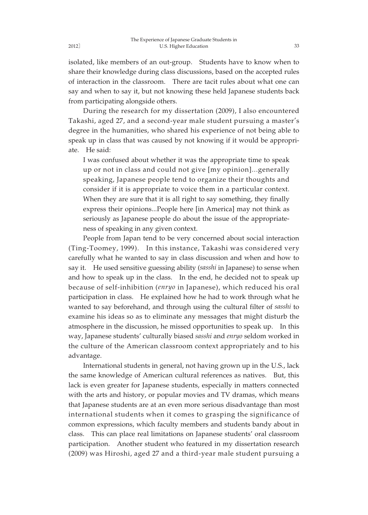isolated, like members of an out-group. Students have to know when to share their knowledge during class discussions, based on the accepted rules of interaction in the classroom. There are tacit rules about what one can say and when to say it, but not knowing these held Japanese students back from participating alongside others.

During the research for my dissertation (2009), I also encountered Takashi, aged 27, and a second-year male student pursuing a master's degree in the humanities, who shared his experience of not being able to speak up in class that was caused by not knowing if it would be appropriate. He said:

I was confused about whether it was the appropriate time to speak up or not in class and could not give [my opinion]...generally speaking, Japanese people tend to organize their thoughts and consider if it is appropriate to voice them in a particular context. When they are sure that it is all right to say something, they finally express their opinions...People here [in America] may not think as seriously as Japanese people do about the issue of the appropriateness of speaking in any given context.

People from Japan tend to be very concerned about social interaction (Ting-Toomey, 1999). In this instance, Takashi was considered very carefully what he wanted to say in class discussion and when and how to say it. He used sensitive guessing ability (*sasshi* in Japanese) to sense when and how to speak up in the class. In the end, he decided not to speak up because of self-inhibition (*enryo* in Japanese), which reduced his oral participation in class. He explained how he had to work through what he wanted to say beforehand, and through using the cultural filter of *sasshi* to examine his ideas so as to eliminate any messages that might disturb the atmosphere in the discussion, he missed opportunities to speak up. In this way, Japanese students' culturally biased *sasshi* and *enryo* seldom worked in the culture of the American classroom context appropriately and to his advantage.

International students in general, not having grown up in the U.S., lack the same knowledge of American cultural references as natives. But, this lack is even greater for Japanese students, especially in matters connected with the arts and history, or popular movies and TV dramas, which means that Japanese students are at an even more serious disadvantage than most international students when it comes to grasping the significance of common expressions, which faculty members and students bandy about in class. This can place real limitations on Japanese students' oral classroom participation. Another student who featured in my dissertation research (2009) was Hiroshi, aged 27 and a third-year male student pursuing a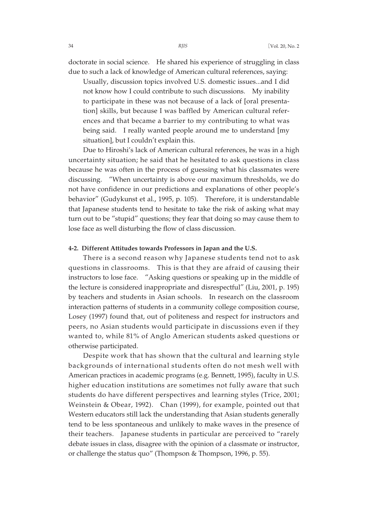Usually, discussion topics involved U.S. domestic issues...and I did not know how I could contribute to such discussions. My inability to participate in these was not because of a lack of [oral presentation] skills, but because I was baffled by American cultural references and that became a barrier to my contributing to what was being said. I really wanted people around me to understand [my situation], but I couldn't explain this.

Due to Hiroshi's lack of American cultural references, he was in a high uncertainty situation; he said that he hesitated to ask questions in class because he was often in the process of guessing what his classmates were discussing. "When uncertainty is above our maximum thresholds, we do not have confidence in our predictions and explanations of other people's behavior" (Gudykunst et al., 1995, p. 105). Therefore, it is understandable that Japanese students tend to hesitate to take the risk of asking what may turn out to be "stupid" questions; they fear that doing so may cause them to lose face as well disturbing the flow of class discussion.

## **4-2. Different Attitudes towards Professors in Japan and the U.S.**

There is a second reason why Japanese students tend not to ask questions in classrooms. This is that they are afraid of causing their instructors to lose face. "Asking questions or speaking up in the middle of the lecture is considered inappropriate and disrespectful" (Liu, 2001, p. 195) by teachers and students in Asian schools. In research on the classroom interaction patterns of students in a community college composition course, Losey (1997) found that, out of politeness and respect for instructors and peers, no Asian students would participate in discussions even if they wanted to, while 81% of Anglo American students asked questions or otherwise participated.

Despite work that has shown that the cultural and learning style backgrounds of international students often do not mesh well with American practices in academic programs (e.g. Bennett, 1995), faculty in U.S. higher education institutions are sometimes not fully aware that such students do have different perspectives and learning styles (Trice, 2001; Weinstein & Obear, 1992). Chan (1999), for example, pointed out that Western educators still lack the understanding that Asian students generally tend to be less spontaneous and unlikely to make waves in the presence of their teachers. Japanese students in particular are perceived to "rarely debate issues in class, disagree with the opinion of a classmate or instructor, or challenge the status quo" (Thompson & Thompson, 1996, p. 55).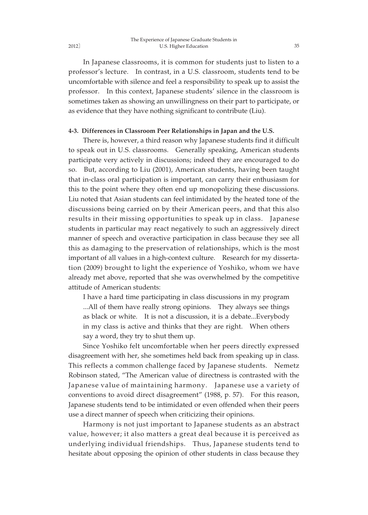#### The Experience of Japanese Graduate Students in 2012] U.S. Higher Education

In Japanese classrooms, it is common for students just to listen to a professor's lecture. In contrast, in a U.S. classroom, students tend to be uncomfortable with silence and feel a responsibility to speak up to assist the professor. In this context, Japanese students' silence in the classroom is sometimes taken as showing an unwillingness on their part to participate, or as evidence that they have nothing significant to contribute (Liu).

# **4-3. Differences in Classroom Peer Relationships in Japan and the U.S.**

There is, however, a third reason why Japanese students find it difficult to speak out in U.S. classrooms. Generally speaking, American students participate very actively in discussions; indeed they are encouraged to do so. But, according to Liu (2001), American students, having been taught that in-class oral participation is important, can carry their enthusiasm for this to the point where they often end up monopolizing these discussions. Liu noted that Asian students can feel intimidated by the heated tone of the discussions being carried on by their American peers, and that this also results in their missing opportunities to speak up in class. Japanese students in particular may react negatively to such an aggressively direct manner of speech and overactive participation in class because they see all this as damaging to the preservation of relationships, which is the most important of all values in a high-context culture. Research for my dissertation (2009) brought to light the experience of Yoshiko, whom we have already met above, reported that she was overwhelmed by the competitive attitude of American students:

I have a hard time participating in class discussions in my program ... All of them have really strong opinions. They always see things as black or white. It is not a discussion, it is a debate...Everybody in my class is active and thinks that they are right. When others say a word, they try to shut them up.

Since Yoshiko felt uncomfortable when her peers directly expressed disagreement with her, she sometimes held back from speaking up in class. This reflects a common challenge faced by Japanese students. Nemetz Robinson stated, "The American value of directness is contrasted with the Japanese value of maintaining harmony. Japanese use a variety of conventions to avoid direct disagreement" (1988, p. 57). For this reason, Japanese students tend to be intimidated or even offended when their peers use a direct manner of speech when criticizing their opinions.

Harmony is not just important to Japanese students as an abstract value, however; it also matters a great deal because it is perceived as underlying individual friendships. Thus, Japanese students tend to hesitate about opposing the opinion of other students in class because they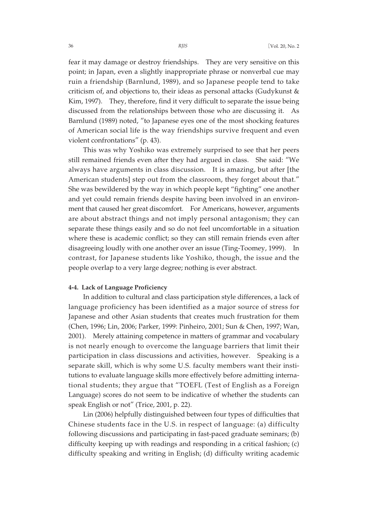fear it may damage or destroy friendships. They are very sensitive on this point; in Japan, even a slightly inappropriate phrase or nonverbal cue may ruin a friendship (Barnlund, 1989), and so Japanese people tend to take criticism of, and objections to, their ideas as personal attacks (Gudykunst & Kim, 1997). They, therefore, find it very difficult to separate the issue being discussed from the relationships between those who are discussing it. As Barnlund (1989) noted, "to Japanese eyes one of the most shocking features of American social life is the way friendships survive frequent and even violent confrontations" (p. 43).

This was why Yoshiko was extremely surprised to see that her peers still remained friends even after they had argued in class. She said: "We always have arguments in class discussion. It is amazing, but after [the American students] step out from the classroom, they forget about that." She was bewildered by the way in which people kept "fighting" one another and yet could remain friends despite having been involved in an environment that caused her great discomfort. For Americans, however, arguments are about abstract things and not imply personal antagonism; they can separate these things easily and so do not feel uncomfortable in a situation where these is academic conflict; so they can still remain friends even after disagreeing loudly with one another over an issue (Ting-Toomey, 1999). In contrast, for Japanese students like Yoshiko, though, the issue and the people overlap to a very large degree; nothing is ever abstract.

# **4-4. Lack of Language Proficiency**

In addition to cultural and class participation style differences, a lack of language proficiency has been identified as a major source of stress for Japanese and other Asian students that creates much frustration for them (Chen, 1996; Lin, 2006; Parker, 1999: Pinheiro, 2001; Sun & Chen, 1997; Wan, 2001). Merely attaining competence in matters of grammar and vocabulary is not nearly enough to overcome the language barriers that limit their participation in class discussions and activities, however. Speaking is a separate skill, which is why some U.S. faculty members want their institutions to evaluate language skills more effectively before admitting international students; they argue that "TOEFL (Test of English as a Foreign Language) scores do not seem to be indicative of whether the students can speak English or not" (Trice, 2001, p. 22).

Lin (2006) helpfully distinguished between four types of difficulties that Chinese students face in the U.S. in respect of language: (a) difficulty following discussions and participating in fast-paced graduate seminars; (b) difficulty keeping up with readings and responding in a critical fashion; (c) difficulty speaking and writing in English; (d) difficulty writing academic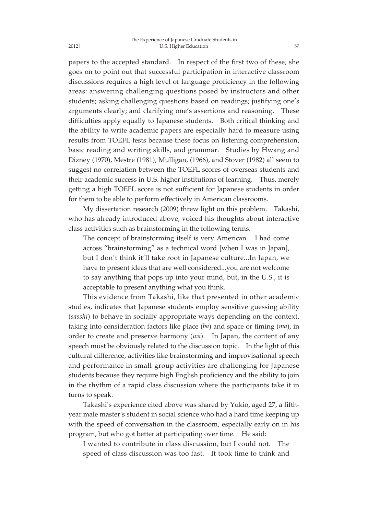papers to the accepted standard. In respect of the first two of these, she goes on to point out that successful participation in interactive classroom discussions requires a high level of language proficiency in the following areas: answering challenging questions posed by instructors and other students; asking challenging questions based on readings; justifying one's arguments clearly; and clarifying one's assertions and reasoning. These difficulties apply equally to Japanese students. Both critical thinking and the ability to write academic papers are especially hard to measure using results from TOEFL tests because these focus on listening comprehension, basic reading and writing skills, and grammar. Studies by Hwang and Dizney (1970), Mestre (1981), Mulligan, (1966), and Stover (1982) all seem to suggest no correlation between the TOEFL scores of overseas students and their academic success in U.S. higher institutions of learning. Thus, merely getting a high TOEFL score is not sufficient for Japanese students in order for them to be able to perform effectively in American classrooms.

My dissertation research (2009) threw light on this problem. Takashi, who has already introduced above, voiced his thoughts about interactive class activities such as brainstorming in the following terms:

The concept of brainstorming itself is very American. I had come across "brainstorming" as a technical word [when I was in Japan], but I don't think it'll take root in Japanese culture...In Japan, we have to present ideas that are well considered...you are not welcome to say anything that pops up into your mind, but, in the U.S., it is acceptable to present anything what you think.

This evidence from Takashi, like that presented in other academic studies, indicates that Japanese students employ sensitive guessing ability (*sasshi*) to behave in socially appropriate ways depending on the context, taking into consideration factors like place (*ba*) and space or timing (*ma*), in order to create and preserve harmony (*wa*). In Japan, the content of any speech must be obviously related to the discussion topic. In the light of this cultural difference, activities like brainstorming and improvisational speech and performance in small-group activities are challenging for Japanese students because they require high English proficiency and the ability to join in the rhythm of a rapid class discussion where the participants take it in turns to speak.

Takashi's experience cited above was shared by Yukio, aged 27, a fifthyear male master's student in social science who had a hard time keeping up with the speed of conversation in the classroom, especially early on in his program, but who got better at participating over time. He said:

I wanted to contribute in class discussion, but I could not. The speed of class discussion was too fast. It took time to think and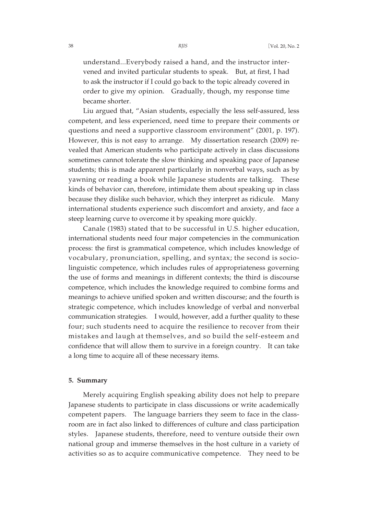understand...Everybody raised a hand, and the instructor intervened and invited particular students to speak. But, at first, I had to ask the instructor if I could go back to the topic already covered in order to give my opinion. Gradually, though, my response time became shorter.

Liu argued that, "Asian students, especially the less self-assured, less competent, and less experienced, need time to prepare their comments or questions and need a supportive classroom environment" (2001, p. 197). However, this is not easy to arrange. My dissertation research (2009) revealed that American students who participate actively in class discussions sometimes cannot tolerate the slow thinking and speaking pace of Japanese students; this is made apparent particularly in nonverbal ways, such as by yawning or reading a book while Japanese students are talking. These kinds of behavior can, therefore, intimidate them about speaking up in class because they dislike such behavior, which they interpret as ridicule. Many international students experience such discomfort and anxiety, and face a steep learning curve to overcome it by speaking more quickly.

Canale (1983) stated that to be successful in U.S. higher education, international students need four major competencies in the communication process: the first is grammatical competence, which includes knowledge of vocabulary, pronunciation, spelling, and syntax; the second is sociolinguistic competence, which includes rules of appropriateness governing the use of forms and meanings in different contexts; the third is discourse competence, which includes the knowledge required to combine forms and meanings to achieve unified spoken and written discourse; and the fourth is strategic competence, which includes knowledge of verbal and nonverbal communication strategies. I would, however, add a further quality to these four; such students need to acquire the resilience to recover from their mistakes and laugh at themselves, and so build the self-esteem and confidence that will allow them to survive in a foreign country. It can take a long time to acquire all of these necessary items.

### **5. Summary**

Merely acquiring English speaking ability does not help to prepare Japanese students to participate in class discussions or write academically competent papers. The language barriers they seem to face in the classroom are in fact also linked to differences of culture and class participation styles. Japanese students, therefore, need to venture outside their own national group and immerse themselves in the host culture in a variety of activities so as to acquire communicative competence. They need to be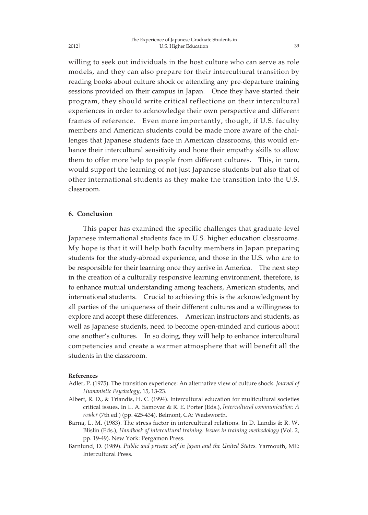willing to seek out individuals in the host culture who can serve as role models, and they can also prepare for their intercultural transition by reading books about culture shock or attending any pre-departure training sessions provided on their campus in Japan. Once they have started their program, they should write critical reflections on their intercultural experiences in order to acknowledge their own perspective and different frames of reference. Even more importantly, though, if U.S. faculty members and American students could be made more aware of the challenges that Japanese students face in American classrooms, this would enhance their intercultural sensitivity and hone their empathy skills to allow them to offer more help to people from different cultures. This, in turn, would support the learning of not just Japanese students but also that of other international students as they make the transition into the U.S. classroom.

# **6. Conclusion**

This paper has examined the specific challenges that graduate-level Japanese international students face in U.S. higher education classrooms. My hope is that it will help both faculty members in Japan preparing students for the study-abroad experience, and those in the U.S. who are to be responsible for their learning once they arrive in America. The next step in the creation of a culturally responsive learning environment, therefore, is to enhance mutual understanding among teachers, American students, and international students. Crucial to achieving this is the acknowledgment by all parties of the uniqueness of their different cultures and a willingness to explore and accept these differences. American instructors and students, as well as Japanese students, need to become open-minded and curious about one another's cultures. In so doing, they will help to enhance intercultural competencies and create a warmer atmosphere that will benefit all the students in the classroom.

#### **References**

- Adler, P. (1975). The transition experience: An alternative view of culture shock. *Journal of Humanistic Psychology*, 15, 13-23.
- Albert, R. D., & Triandis, H. C. (1994). Intercultural education for multicultural societies critical issues. In L. A. Samovar & R. E. Porter (Eds.), *Intercultural communication: A reader* (7th ed.) (pp. 425-434). Belmont, CA: Wadsworth.
- Barna, L. M. (1983). The stress factor in intercultural relations. In D. Landis & R. W. Blislin (Eds.), *Handbook of intercultural training: Issues in training methodology* (Vol. 2, pp. 19-49). New York: Pergamon Press.
- Barnlund, D. (1989). *Public and private self in Japan and the United States*. Yarmouth, ME: Intercultural Press.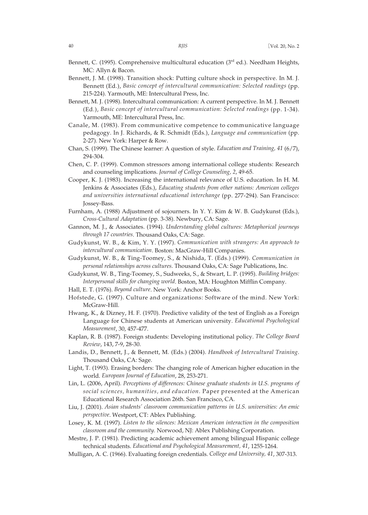- Bennett, C. (1995). Comprehensive multicultural education (3<sup>rd</sup> ed.). Needham Heights, MC: Allyn & Bacon.
- Bennett, J. M. (1998). Transition shock: Putting culture shock in perspective. In M. J. Bennett (Ed.), *Basic concept of intercultural communication: Selected readings* (pp. 215-224). Yarmouth, ME: Intercultural Press, Inc.
- Bennett, M. J. (1998). Intercultural communication: A current perspective. In M. J. Bennett (Ed.), *Basic concept of intercultural communication: Selected readings* (pp. 1-34). Yarmouth, ME: Intercultural Press, Inc.
- Canale, M. (1983). From communicative competence to communicative language pedagogy. In J. Richards, & R. Schmidt (Eds.), *Language and communication* (pp. 2-27). New York: Harper & Row.
- Chan, S. (1999). The Chinese learner: A question of style. *Education and Training, 41* (6/7), 294-304.
- Chen, C. P. (1999). Common stressors among international college students: Research and counseling implications. *Journal of College Counseling, 2*, 49-65.
- Cooper, K. J. (1983). Increasing the international relevance of U.S. education. In H. M. Jenkins & Associates (Eds.), *Educating students from other nations: American colleges and universities international educational interchange* (pp. 277-294). San Francisco: Jossey-Bass.
- Furnham, A. (1988) Adjustment of sojourners. In Y. Y. Kim & W. B. Gudykunst (Eds.), *Cross-Cultural Adaptation* (pp. 3-38). Newbury, CA: Sage.
- Gannon, M. J., & Associates. (1994). *Understanding global cultures: Metaphorical journeys through 17 countries*. Thousand Oaks, CA: Sage.
- Gudykunst, W. B., & Kim, Y. Y. (1997). *Communication with strangers: An approach to intercultural communication*. Boston: MacGraw-Hill Companies.
- Gudykunst, W. B., & Ting-Toomey, S., & Nishida, T. (Eds.) (1999). *Communication in personal relationships across cultures*. Thousand Oaks, CA: Sage Publications, Inc.
- Gudykunst, W. B., Ting-Toomey, S., Sudweeks, S., & Stwart, L. P. (1995). *Building bridges: Interpersonal skills for changing world*. Boston, MA: Houghton Mifflin Company.
- Hall, E. T. (1976). *Beyond culture*. New York: Anchor Books.
- Hofstede, G. (1997). Culture and organizations: Software of the mind. New York: McGraw-Hill.
- Hwang, K., & Dizney, H. F. (1970). Predictive validity of the test of English as a Foreign Language for Chinese students at American university. *Educational Psychological Measurement*, 30, 457-477.
- Kaplan, R. B. (1987). Foreign students: Developing institutional policy. *The College Board Review*, 143, 7-9, 28-30.
- Landis, D., Bennett, J., & Bennett, M. (Eds.) (2004). *Handbook of Intercultural Training*. Thousand Oaks, CA: Sage.
- Light, T. (1993). Erasing borders: The changing role of American higher education in the world. *European Journal of Education*, 28, 253-271.
- Lin, L. (2006, April). *Perceptions of differences: Chinese graduate students in U.S. programs of social sciences, humanities, and education.* Paper presented at the American Educational Research Association 26th. San Francisco, CA.
- Liu, J. (2001). *Asian students' classroom communication patterns in U.S. universities: An emic perspective*. Westport, CT: Ablex Publishing.
- Losey, K. M. (1997). *Listen to the silences: Mexican American interaction in the composition classroom and the community.* Norwood, NJ: Ablex Publishing Corporation.
- Mestre, J. P. (1981). Predicting academic achievement among bilingual Hispanic college technical students. *Educational and Psychological Measurement, 41*, 1255-1264.
- Mulligan, A. C. (1966). Evaluating foreign credentials. *College and University, 41*, 307-313.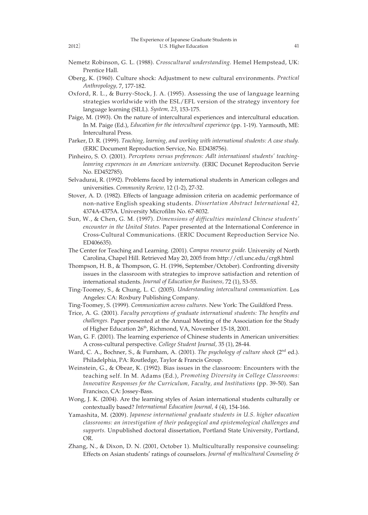- Nemetz Robinson, G. L. (1988). *Crosscultural understanding.* Hemel Hempstead, UK: Prentice Hall.
- Oberg, K. (1960). Culture shock: Adjustment to new cultural environments. *Practical Anthropology,* 7, 177-182.
- Oxford, R. L., & Burry-Stock, J. A. (1995). Assessing the use of language learning strategies worldwide with the ESL/EFL version of the strategy inventory for language learning (SILL). *System, 23*, 153-175.
- Paige, M. (1993). On the nature of intercultural experiences and intercultural education. In M. Paige (Ed.), *Education for the intercultural experience* (pp. 1-19). Yarmouth, ME: Intercultural Press.
- Parker, D. R. (1999). *Teaching, learning, and working with international students: A case study.* (ERIC Document Reproduction Service, No. ED438756).
- Pinheiro, S. O. (2001). *Perceptons versus preferences: Adlt internatioanl students' teachingleanring experences in an American university.* (ERIC Docunet Reproduciton Servie No. ED452785).
- Selvadurai, R. (1992). Problems faced by international students in American colleges and universities. *Community Review,* 12 (1-2), 27-32.
- Stover, A. D. (1982). Effects of language admission criteria on academic performance of non-native English speaking students. *Dissertation Abstract International 42,* 4374A-4375A. University Microfilm No. 67-8032.
- Sun, W., & Chen, G. M. (1997). *Dimensions of difficulties mainland Chinese students' encounter in the United States.* Paper presented at the International Conference in Cross-Cultural Communications. (ERIC Document Reproduction Service No. ED406635).
- The Center for Teaching and Learning. (2001). *Campus resource guide.* University of North Carolina, Chapel Hill. Retrieved May 20, 2005 from http://ctl.unc.edu/crg8.html
- Thompson, H. B., & Thompson, G. H. (1996, September/October). Confronting diversity issues in the classroom with strategies to improve satisfaction and retention of international students. *Journal of Education for Business,* 72 (1), 53-55.
- Ting-Toomey, S., & Chung, L. C. (2005). *Understanding intercultural communication.* Los Angeles: CA: Roxbury Publishing Company.
- Ting-Toomey, S. (1999). *Communication across cultures.* New York: The Guildford Press.
- Trice, A. G. (2001). *Faculty perceptions of graduate international students: The benefits and challenges.* Paper presented at the Annual Meeting of the Association for the Study of Higher Education 26<sup>th</sup>, Richmond, VA, November 15-18, 2001.
- Wan, G. F. (2001). The learning experience of Chinese students in American universities: A cross-cultural perspective. *College Student Journal,* 35 (1), 28-44.
- Ward, C. A., Bochner, S., & Furnham, A. (2001). *The psychology of culture shock* (2nd ed.). Philadelphia, PA: Routledge, Taylor & Francis Group.
- Weinstein, G., & Obear, K. (1992). Bias issues in the classroom: Encounters with the teaching self. In M. Adams (Ed.), *Promoting Diversity in College Classrooms: Innovative Responses for the Curriculum, Faculty, and Institutions* (pp. 39-50). San Francisco, CA: Jossey-Bass.
- Wong, J. K. (2004). Are the learning styles of Asian international students culturally or contextually based? *International Education Journal, 4* (4), 154-166.
- Yamashita, M. (2009). *Japanese international graduate students in U.S. higher education classrooms: an investigation of their pedagogical and epistemological challenges and supports.* Unpublished doctoral dissertation, Portland State University, Portland, OR.
- Zhang, N., & Dixon, D. N. (2001, October 1). Multiculturally responsive counseling: Effects on Asian students' ratings of counselors. *Journal of multicultural Counseling &*

41